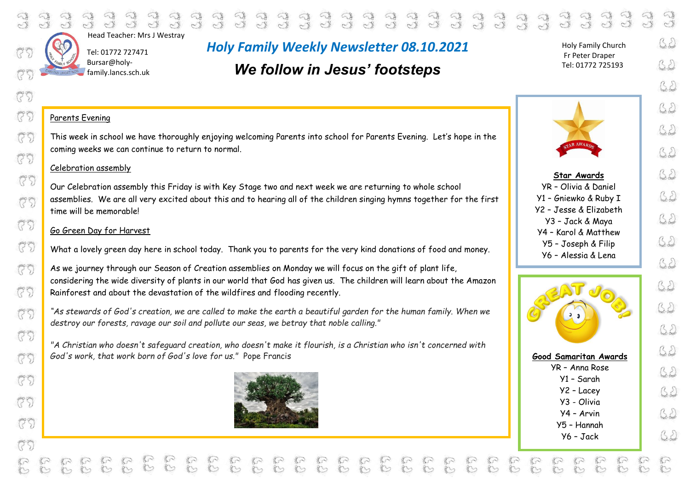

 $\overline{C}$ 

35

775

(25)

(25)

75

75

775

75

75

799

#### Head Teacher: Mrs J Westray

 $\begin{array}{c} \mathbb{C} \\ \mathbb{C} \end{array}$ 

 $\sum_{k=1}^{\infty}$ 

 Tel: 01772 727471 Bursar@holy- $\int$  family.lancs.sch.uk

# *Holy Family Weekly Newsletter 08.10.2021*

 $\begin{array}{l} \mathbf{d} & \mathbf{d} & \mathbf{d} & \mathbf{d} & \mathbf{d} & \mathbf{d} & \mathbf{d} & \mathbf{d} & \mathbf{d} & \mathbf{d} & \mathbf{d} & \mathbf{d} \\ \mathbf{d} & \mathbf{d} & \mathbf{d} & \mathbf{d} & \mathbf{d} & \mathbf{d} & \mathbf{d} & \mathbf{d} & \mathbf{d} & \mathbf{d} & \mathbf{d} & \mathbf{d} \\ \mathbf{d} & \mathbf{d} & \mathbf{d} & \mathbf{d} & \mathbf{d} & \mathbf{d} & \mathbf$ 

# *We follow in Jesus' footsteps*

Holy Family Church Fr Peter Draper Tel: 01772 725193

 $\begin{array}{c} 3 & 3 & 3 \\ 3 & 3 & 3 \end{array}$ 

Parents Evening

 This week in school we have thoroughly enjoying welcoming Parents into school for Parents Evening. Let's hope in the coming weeks we can continue to return to normal.

#### Celebration assembly

Our Celebration assembly this Friday is with Key Stage two and next week we are returning to whole school assemblies. We are all very excited about this and to hearing all of the children singing hymns together for the first time will be memorable!

#### Go Green Day for Harvest

What a lovely green day here in school today. Thank you to parents for the very kind donations of food and money.

As we journey through our Season of Creation assemblies on Monday we will focus on the gift of plant life, considering the wide diversity of plants in our world that God has given us. The children will learn about the Amazon Rainforest and about the devastation of the wildfires and flooding recently.

*"As stewards of God's creation, we are called to make the earth a beautiful garden for the human family. When we destroy our forests, ravage our soil and pollute our seas, we betray that noble calling."*

*"A Christian who doesn't safeguard creation, who doesn't make it flourish, is a Christian who isn't concerned with God's work, that work born of God's love for us."* Pope Francis





**Star Awards** YR – Olivia & Daniel Y1 – Gniewko & Ruby I Y2 – Jesse & Elizabeth Y3 – Jack & Maya Y4 – Karol & Matthew Y5 – Joseph & Filip Y6 – Alessia & Lena



れっ